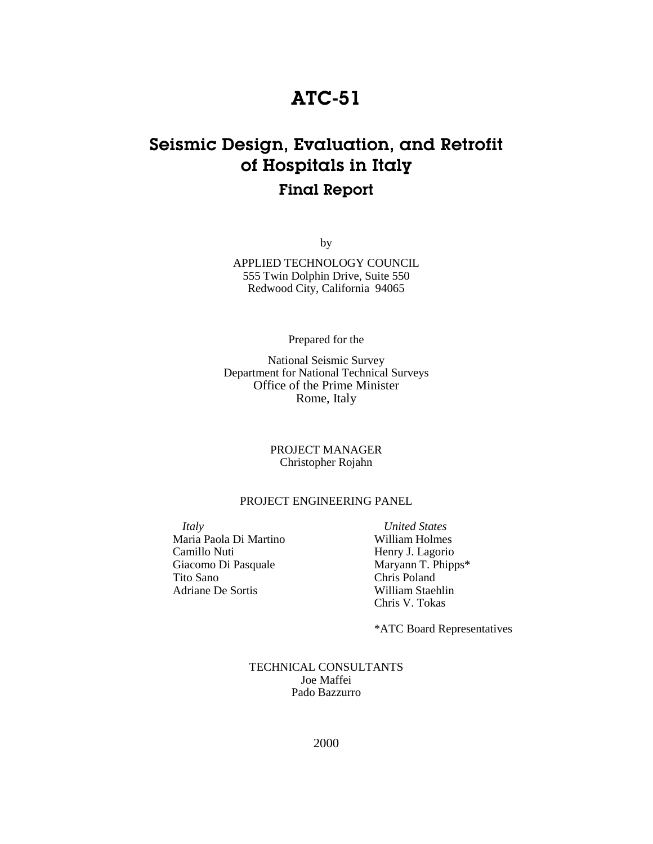## ATC-51

## Seismic Design, Evaluation, and Retrofit of Hospitals in Italy Final Report

by

APPLIED TECHNOLOGY COUNCIL 555 Twin Dolphin Drive, Suite 550 Redwood City, California 94065

Prepared for the

National Seismic Survey Department for National Technical Surveys Office of the Prime Minister Rome, Italy

> PROJECT MANAGER Christopher Rojahn

## PROJECT ENGINEERING PANEL

*Italy* Maria Paola Di Martino Camillo Nuti Giacomo Di Pasquale Tito Sano Adriane De Sortis

*United States* William Holmes Henry J. Lagorio Maryann T. Phipps\* Chris Poland William Staehlin Chris V. Tokas

\*ATC Board Representatives

TECHNICAL CONSULTANTS Joe Maffei Pado Bazzurro

2000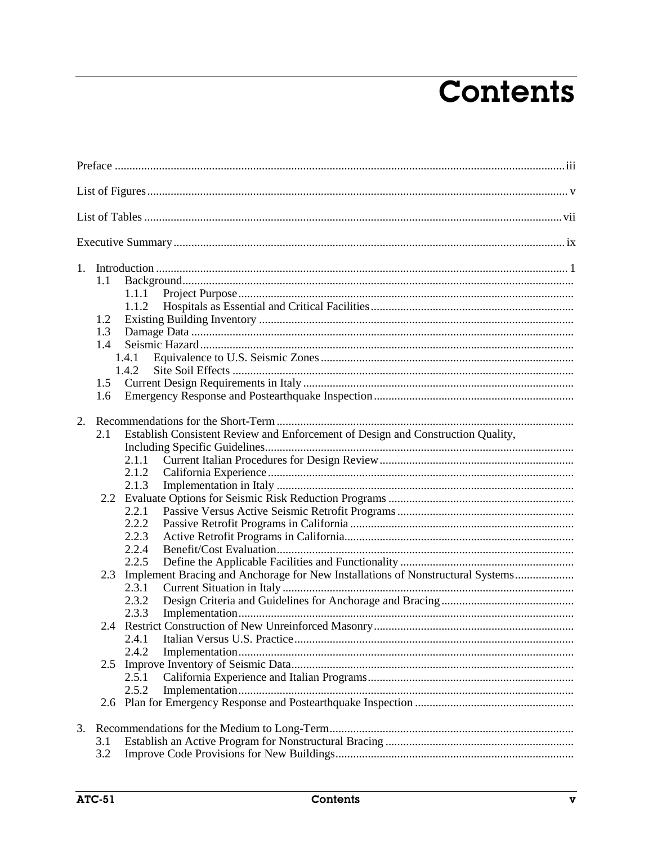## **Contents**

| $1_{\cdot}$<br>1.1<br>1.2<br>1.3<br>1.4<br>1.6 | 1.1.1<br>1.1.2<br>1.4.1<br>1.4.2<br>1.5                                                                                                                                                                                                                                                       |
|------------------------------------------------|-----------------------------------------------------------------------------------------------------------------------------------------------------------------------------------------------------------------------------------------------------------------------------------------------|
| 2.<br>2.1                                      | Establish Consistent Review and Enforcement of Design and Construction Quality,<br>2.1.1<br>2.1.2<br>2.1.3<br>2.2.1<br>2.2.2<br>2.2.3<br>2.2.4<br>2.2.5<br>Implement Bracing and Anchorage for New Installations of Nonstructural Systems<br>2.3<br>2.3.1<br>2.3.2<br>2.3.3<br>2.4.1<br>2.4.2 |
|                                                | 2.5.1<br>2.5.2                                                                                                                                                                                                                                                                                |
| 3.1<br>3.2                                     |                                                                                                                                                                                                                                                                                               |